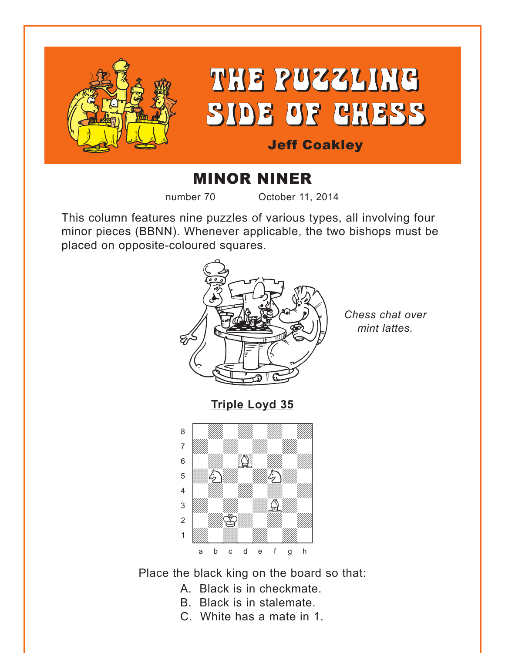<span id="page-0-0"></span>

# THE PUZZLING SIDE OF CHESS

## Jeff Coakley

# MINOR NINER

number 70 October 11, 2014

This column features nine puzzles of various types, all involving four minor pieces (BBNN). Whenever applicable, the two bishops must be placed on opposite-coloured squares.



Place the black king on the board so that:

- A. Black is in checkmate.
- B. Black is in stalemate.
- C. White has a mate in 1.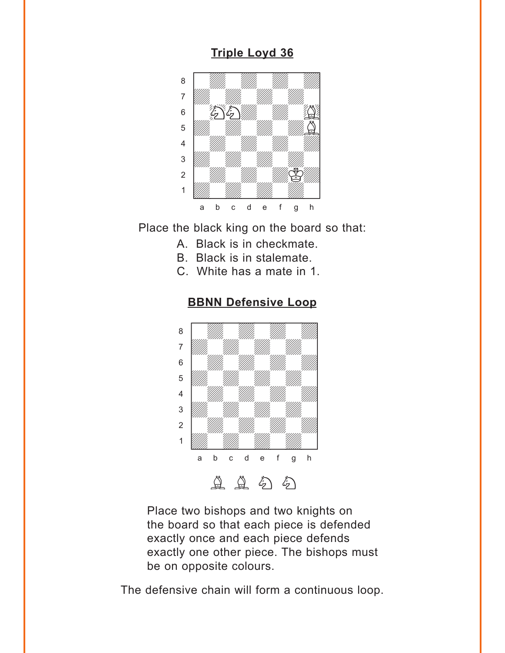#### **[Triple Loyd 36](#page-5-0)**

<span id="page-1-0"></span>

Place the black king on the board so that:

- A. Black is in checkmate.
- B. Black is in stalemate.
- C. White has a mate in 1.



#### **[BBNN Defensive Loop](#page-6-0)**

Place two bishops and two knights on the board so that each piece is defended exactly once and each piece defends exactly one other piece. The bishops must be on opposite colours.

The defensive chain will form a continuous loop.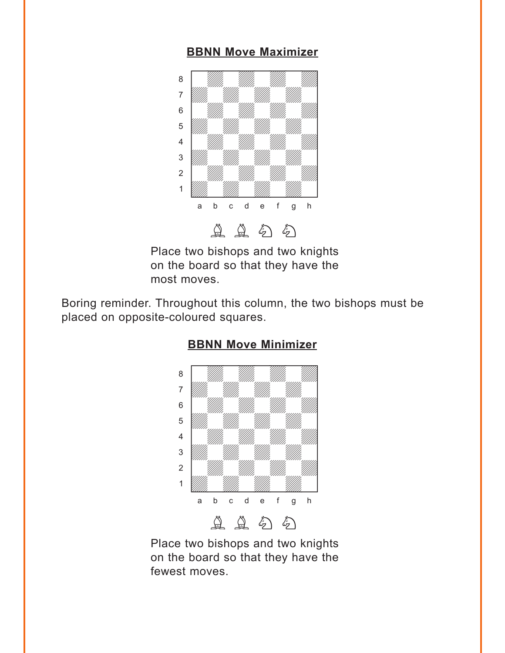#### **[BBNN Move Maximizer](#page-6-0)**

<span id="page-2-0"></span>

Place two bishops and two knights on the board so that they have the most moves.

Boring reminder. Throughout this column, the two bishops must be placed on opposite-coloured squares.



#### **[BBNN Move Minimizer](#page-7-0)**

Place two bishops and two knights on the board so that they have the fewest moves.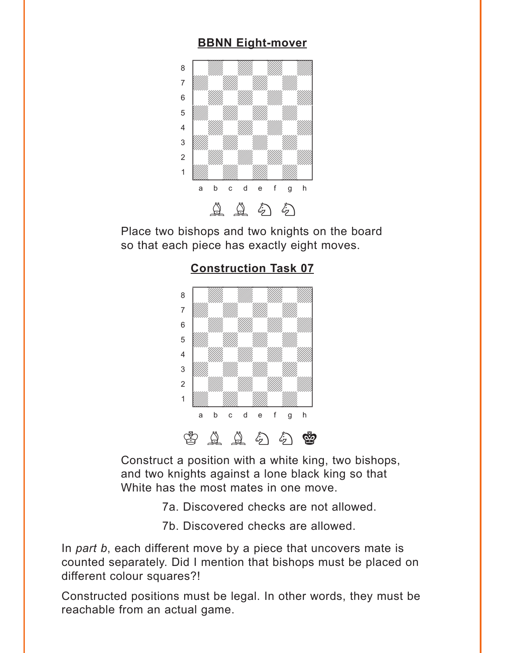#### **[BBNN Eight-mover](#page-7-0)**

<span id="page-3-0"></span>

Place two bishops and two knights on the board so that each piece has exactly eight moves.



**[Construction Task 07](#page-8-0)**

Construct a position with a white king, two bishops, and two knights against a lone black king so that White has the most mates in one move.

- 7a. Discovered checks are not allowed.
- 7b. Discovered checks are allowed.

In *part b*, each different move by a piece that uncovers mate is counted separately. Did I mention that bishops must be placed on different colour squares?!

Constructed positions must be legal. In other words, they must be reachable from an actual game.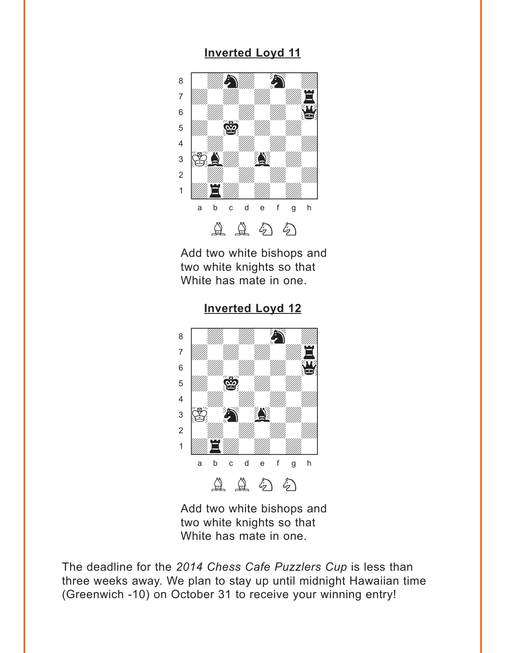#### **[Inverted Loyd 11](#page-9-0)**

<span id="page-4-0"></span>

Add two white bishops and two white knights so that White has mate in one.



4 William William William William  $\frac{1}{2}$  is the set of  $\frac{1}{2}$ Ûwdwdwdwd] 1 Was Harry William Company of the William Company of the William Company of the William Company of the Company a b c d e f g h

**[Inverted Loyd 12](#page-9-0)**

Add two white bishops and two white knights so that White has mate in one.

 $\begin{tabular}{ccccc} $\Delta$ & $\Delta$ & $\delta$ \end{tabular} \begin{tabular}{ccccc} \multicolumn{2}{c}{$\Delta$} & $\delta$ \end{tabular} \begin{tabular}{ccccc} \multicolumn{2}{c}{$\Delta$} & $\delta$ \end{tabular} \begin{tabular}{ccccc} \multicolumn{2}{c}{$\Delta$} & $\delta$ \end{tabular} \begin{tabular}{ccccc} \multicolumn{2}{c}{$\Delta$} & $\delta$ \end{tabular} \end{tabular} \begin{tabular}{ccccc} \multicolumn{2}{c}{$\Delta$} & $\delta$ \end{tabular} \begin{tabular}{ccccc} \multicolumn{2}{c}{$\Delta$}$ 

The deadline for the *2014 Chess Cafe Puzzlers Cup* is less than three weeks away. We plan to stay up until midnight Hawaiian time (Greenwich -10) on October 31 to receive your winning entry!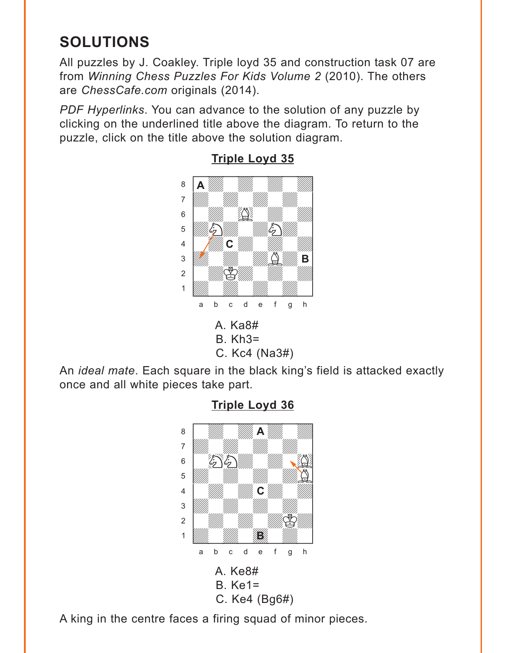# <span id="page-5-0"></span>**SOLUTIONS**

All puzzles by J. Coakley. Triple loyd 35 and construction task 07 are from *Winning Chess Puzzles For Kids Volume 2* (2010). The others are *ChessCafe.com* originals (2014).

*PDF Hyperlinks*. You can advance to the solution of any puzzle by clicking on the underlined title above the diagram. To return to the puzzle, click on the title above the solution diagram.



**[Triple Loyd 35](#page-0-0)**

An *ideal mate*. Each square in the black king's field is attacked exactly once and all white pieces take part.



**[Triple Loyd 36](#page-1-0)**

A king in the centre faces a firing squad of minor pieces.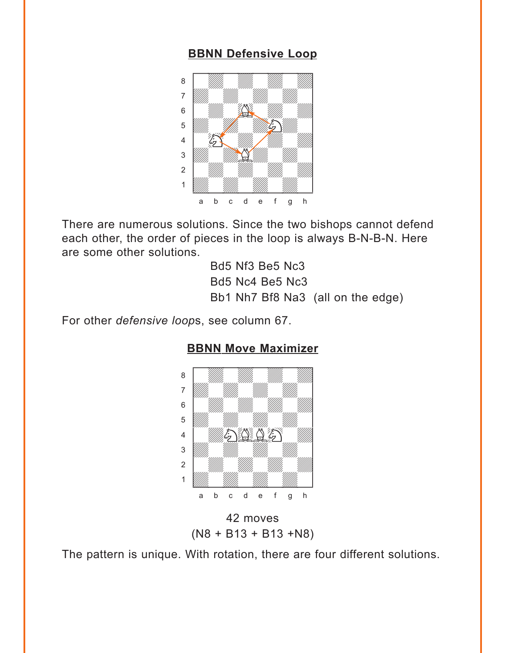#### **[BBNN Defensive Loop](#page-1-0)**

<span id="page-6-0"></span>

There are numerous solutions. Since the two bishops cannot defend each other, the order of pieces in the loop is always B-N-B-N. Here are some other solutions.

> Bd5 Nf3 Be5 Nc3 Bd5 Nc4 Be5 Nc3 Bb1 Nh7 Bf8 Na3 (all on the edge)

For other *defensive loop*s, see column 67.



#### **BBNN [Move Maximizer](#page-2-0)**

42 moves (N8 + B13 + B13 +N8)

The pattern is unique. With rotation, there are four different solutions.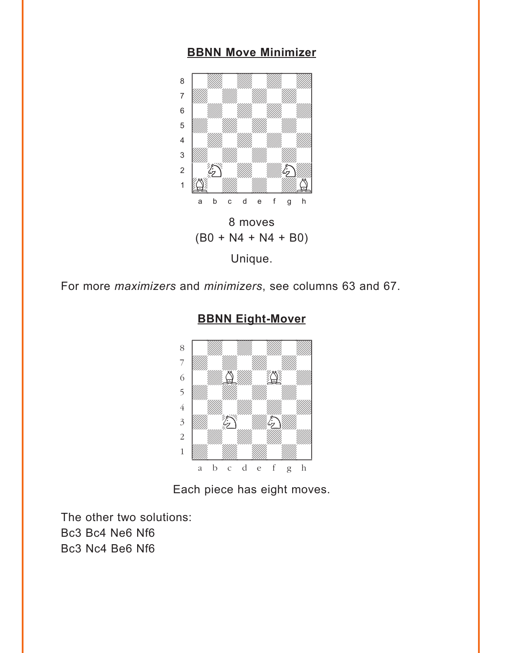#### **[BBNN Move Minimizer](#page-2-0)**

<span id="page-7-0"></span>

For more *maximizers* and *minimizers*, see columns 63 and 67.



#### **BBNN [Eight-Mover](#page-3-0)**

Each piece has eight moves.

The other two solutions: Bc3 Bc4 Ne6 Nf6 Bc3 Nc4 Be6 Nf6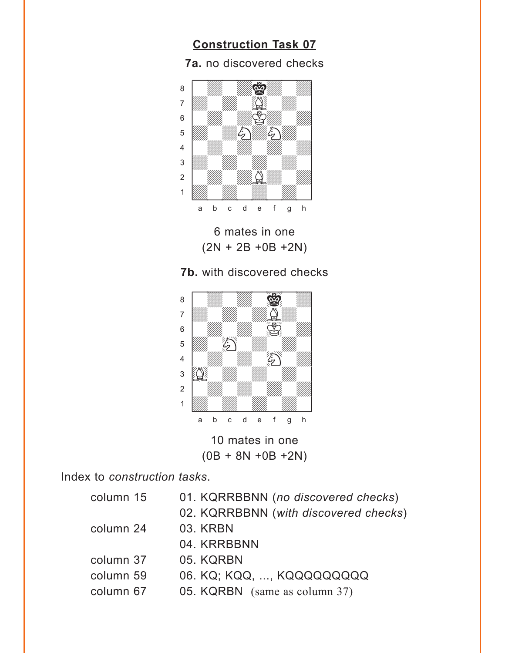### **[Construction Task 07](#page-3-0)**

**7a.** no discovered checks

<span id="page-8-0"></span>

6 mates in one (2N + 2B +0B +2N)





Index to *construction tasks*.

| 01. KQRRBBNN (no discovered checks)   |
|---------------------------------------|
| 02. KQRRBBNN (with discovered checks) |
| 03. KRBN                              |
| 04. KRRBBNN                           |
| 05. KQRBN                             |
| 06. KQ; KQQ, , KQQQQQQQQQ             |
| 05. KQRBN (same as column 37)         |
|                                       |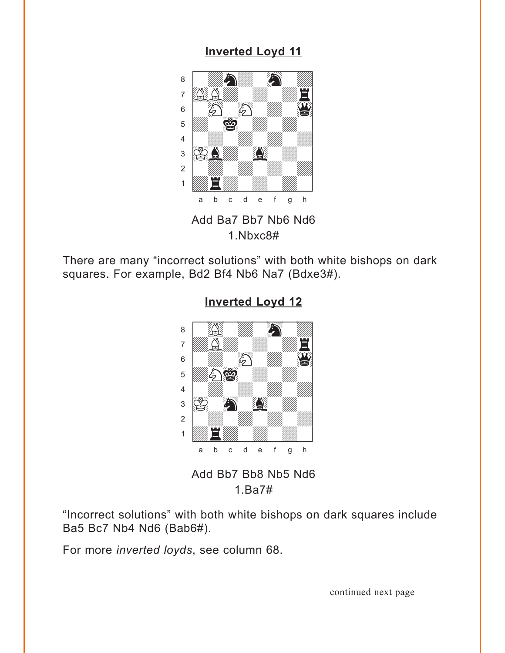#### **[Inverted Loyd 11](#page-4-0)**

<span id="page-9-0"></span>

1.Nbxc8#

There are many "incorrect solutions" with both white bishops on dark squares. For example, Bd2 Bf4 Nb6 Na7 (Bdxe3#).



**[Inverted Loyd 12](#page-4-0)**

Add Bb7 Bb8 Nb5 Nd6 1.Ba7#

"Incorrect solutions" with both white bishops on dark squares include Ba5 Bc7 Nb4 Nd6 (Bab6#).

For more *inverted loyds*, see column 68.

continued next page